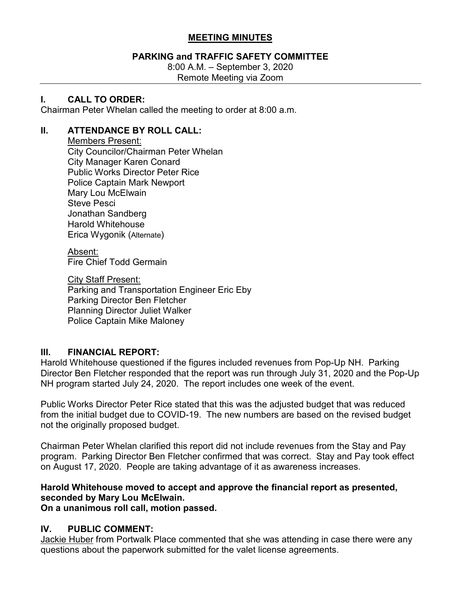## **MEETING MINUTES**

## **PARKING and TRAFFIC SAFETY COMMITTEE**

8:00 A.M. – September 3, 2020 Remote Meeting via Zoom

### **I. CALL TO ORDER:**

Chairman Peter Whelan called the meeting to order at 8:00 a.m.

#### **II. ATTENDANCE BY ROLL CALL:**

Members Present: City Councilor/Chairman Peter Whelan City Manager Karen Conard Public Works Director Peter Rice Police Captain Mark Newport Mary Lou McElwain Steve Pesci Jonathan Sandberg Harold Whitehouse Erica Wygonik (Alternate)

Absent: Fire Chief Todd Germain

City Staff Present: Parking and Transportation Engineer Eric Eby Parking Director Ben Fletcher Planning Director Juliet Walker Police Captain Mike Maloney

## **III. FINANCIAL REPORT:**

Harold Whitehouse questioned if the figures included revenues from Pop-Up NH. Parking Director Ben Fletcher responded that the report was run through July 31, 2020 and the Pop-Up NH program started July 24, 2020. The report includes one week of the event.

Public Works Director Peter Rice stated that this was the adjusted budget that was reduced from the initial budget due to COVID-19. The new numbers are based on the revised budget not the originally proposed budget.

Chairman Peter Whelan clarified this report did not include revenues from the Stay and Pay program. Parking Director Ben Fletcher confirmed that was correct. Stay and Pay took effect on August 17, 2020. People are taking advantage of it as awareness increases.

# **Harold Whitehouse moved to accept and approve the financial report as presented, seconded by Mary Lou McElwain.**

**On a unanimous roll call, motion passed.** 

## **IV. PUBLIC COMMENT:**

Jackie Huber from Portwalk Place commented that she was attending in case there were any questions about the paperwork submitted for the valet license agreements.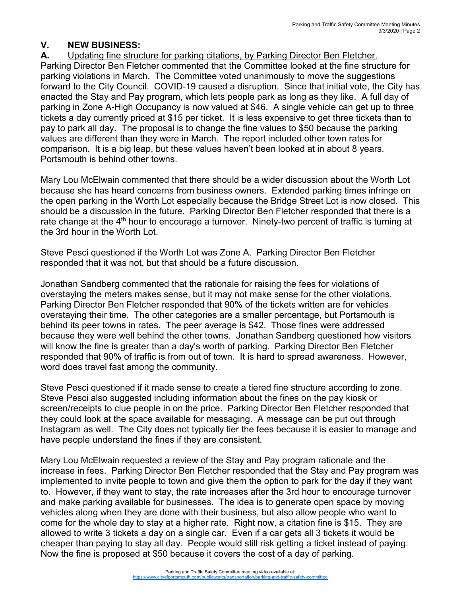# **V. NEW BUSINESS:**

**A.** Updating fine structure for parking citations, by Parking Director Ben Fletcher.

Parking Director Ben Fletcher commented that the Committee looked at the fine structure for parking violations in March. The Committee voted unanimously to move the suggestions forward to the City Council. COVID-19 caused a disruption. Since that initial vote, the City has enacted the Stay and Pay program, which lets people park as long as they like. A full day of parking in Zone A-High Occupancy is now valued at \$46. A single vehicle can get up to three tickets a day currently priced at \$15 per ticket. It is less expensive to get three tickets than to pay to park all day. The proposal is to change the fine values to \$50 because the parking values are different than they were in March. The report included other town rates for comparison. It is a big leap, but these values haven't been looked at in about 8 years. Portsmouth is behind other towns.

Mary Lou McElwain commented that there should be a wider discussion about the Worth Lot because she has heard concerns from business owners. Extended parking times infringe on the open parking in the Worth Lot especially because the Bridge Street Lot is now closed. This should be a discussion in the future. Parking Director Ben Fletcher responded that there is a rate change at the  $4<sup>th</sup>$  hour to encourage a turnover. Ninety-two percent of traffic is turning at the 3rd hour in the Worth Lot.

Steve Pesci questioned if the Worth Lot was Zone A. Parking Director Ben Fletcher responded that it was not, but that should be a future discussion.

Jonathan Sandberg commented that the rationale for raising the fees for violations of overstaying the meters makes sense, but it may not make sense for the other violations. Parking Director Ben Fletcher responded that 90% of the tickets written are for vehicles overstaying their time. The other categories are a smaller percentage, but Portsmouth is behind its peer towns in rates. The peer average is \$42. Those fines were addressed because they were well behind the other towns. Jonathan Sandberg questioned how visitors will know the fine is greater than a day's worth of parking. Parking Director Ben Fletcher responded that 90% of traffic is from out of town. It is hard to spread awareness. However, word does travel fast among the community.

Steve Pesci questioned if it made sense to create a tiered fine structure according to zone. Steve Pesci also suggested including information about the fines on the pay kiosk or screen/receipts to clue people in on the price. Parking Director Ben Fletcher responded that they could look at the space available for messaging. A message can be put out through Instagram as well. The City does not typically tier the fees because it is easier to manage and have people understand the fines if they are consistent.

Mary Lou McElwain requested a review of the Stay and Pay program rationale and the increase in fees. Parking Director Ben Fletcher responded that the Stay and Pay program was implemented to invite people to town and give them the option to park for the day if they want to. However, if they want to stay, the rate increases after the 3rd hour to encourage turnover and make parking available for businesses. The idea is to generate open space by moving vehicles along when they are done with their business, but also allow people who want to come for the whole day to stay at a higher rate. Right now, a citation fine is \$15. They are allowed to write 3 tickets a day on a single car. Even if a car gets all 3 tickets it would be cheaper than paying to stay all day. People would still risk getting a ticket instead of paying. Now the fine is proposed at \$50 because it covers the cost of a day of parking.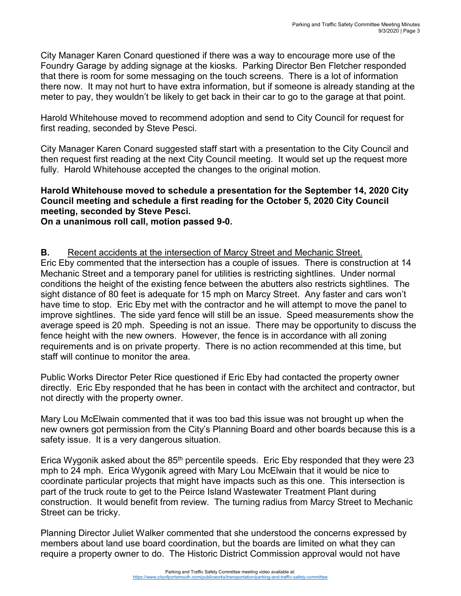City Manager Karen Conard questioned if there was a way to encourage more use of the Foundry Garage by adding signage at the kiosks. Parking Director Ben Fletcher responded that there is room for some messaging on the touch screens. There is a lot of information there now. It may not hurt to have extra information, but if someone is already standing at the meter to pay, they wouldn't be likely to get back in their car to go to the garage at that point.

Harold Whitehouse moved to recommend adoption and send to City Council for request for first reading, seconded by Steve Pesci.

City Manager Karen Conard suggested staff start with a presentation to the City Council and then request first reading at the next City Council meeting. It would set up the request more fully. Harold Whitehouse accepted the changes to the original motion.

# **Harold Whitehouse moved to schedule a presentation for the September 14, 2020 City Council meeting and schedule a first reading for the October 5, 2020 City Council meeting, seconded by Steve Pesci.**

**On a unanimous roll call, motion passed 9-0.**

#### **B.** Recent accidents at the intersection of Marcy Street and Mechanic Street.

Eric Eby commented that the intersection has a couple of issues. There is construction at 14 Mechanic Street and a temporary panel for utilities is restricting sightlines. Under normal conditions the height of the existing fence between the abutters also restricts sightlines. The sight distance of 80 feet is adequate for 15 mph on Marcy Street. Any faster and cars won't have time to stop. Eric Eby met with the contractor and he will attempt to move the panel to improve sightlines. The side yard fence will still be an issue. Speed measurements show the average speed is 20 mph. Speeding is not an issue. There may be opportunity to discuss the fence height with the new owners. However, the fence is in accordance with all zoning requirements and is on private property. There is no action recommended at this time, but staff will continue to monitor the area.

Public Works Director Peter Rice questioned if Eric Eby had contacted the property owner directly. Eric Eby responded that he has been in contact with the architect and contractor, but not directly with the property owner.

Mary Lou McElwain commented that it was too bad this issue was not brought up when the new owners got permission from the City's Planning Board and other boards because this is a safety issue. It is a very dangerous situation.

Erica Wygonik asked about the  $85<sup>th</sup>$  percentile speeds. Eric Eby responded that they were 23 mph to 24 mph. Erica Wygonik agreed with Mary Lou McElwain that it would be nice to coordinate particular projects that might have impacts such as this one. This intersection is part of the truck route to get to the Peirce Island Wastewater Treatment Plant during construction. It would benefit from review. The turning radius from Marcy Street to Mechanic Street can be tricky.

Planning Director Juliet Walker commented that she understood the concerns expressed by members about land use board coordination, but the boards are limited on what they can require a property owner to do. The Historic District Commission approval would not have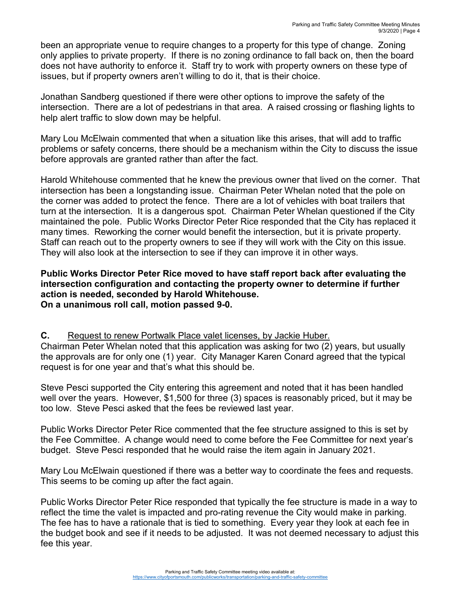been an appropriate venue to require changes to a property for this type of change. Zoning only applies to private property. If there is no zoning ordinance to fall back on, then the board does not have authority to enforce it. Staff try to work with property owners on these type of issues, but if property owners aren't willing to do it, that is their choice.

Jonathan Sandberg questioned if there were other options to improve the safety of the intersection. There are a lot of pedestrians in that area. A raised crossing or flashing lights to help alert traffic to slow down may be helpful.

Mary Lou McElwain commented that when a situation like this arises, that will add to traffic problems or safety concerns, there should be a mechanism within the City to discuss the issue before approvals are granted rather than after the fact.

Harold Whitehouse commented that he knew the previous owner that lived on the corner. That intersection has been a longstanding issue. Chairman Peter Whelan noted that the pole on the corner was added to protect the fence. There are a lot of vehicles with boat trailers that turn at the intersection. It is a dangerous spot. Chairman Peter Whelan questioned if the City maintained the pole. Public Works Director Peter Rice responded that the City has replaced it many times. Reworking the corner would benefit the intersection, but it is private property. Staff can reach out to the property owners to see if they will work with the City on this issue. They will also look at the intersection to see if they can improve it in other ways.

#### **Public Works Director Peter Rice moved to have staff report back after evaluating the intersection configuration and contacting the property owner to determine if further action is needed, seconded by Harold Whitehouse. On a unanimous roll call, motion passed 9-0.**

**C.** Request to renew Portwalk Place valet licenses, by Jackie Huber. Chairman Peter Whelan noted that this application was asking for two (2) years, but usually the approvals are for only one (1) year. City Manager Karen Conard agreed that the typical request is for one year and that's what this should be.

Steve Pesci supported the City entering this agreement and noted that it has been handled well over the years. However, \$1,500 for three (3) spaces is reasonably priced, but it may be too low. Steve Pesci asked that the fees be reviewed last year.

Public Works Director Peter Rice commented that the fee structure assigned to this is set by the Fee Committee. A change would need to come before the Fee Committee for next year's budget. Steve Pesci responded that he would raise the item again in January 2021.

Mary Lou McElwain questioned if there was a better way to coordinate the fees and requests. This seems to be coming up after the fact again.

Public Works Director Peter Rice responded that typically the fee structure is made in a way to reflect the time the valet is impacted and pro-rating revenue the City would make in parking. The fee has to have a rationale that is tied to something. Every year they look at each fee in the budget book and see if it needs to be adjusted. It was not deemed necessary to adjust this fee this year.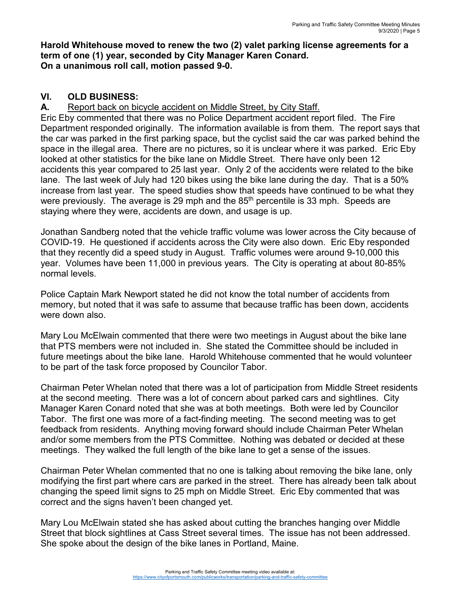#### **Harold Whitehouse moved to renew the two (2) valet parking license agreements for a term of one (1) year, seconded by City Manager Karen Conard. On a unanimous roll call, motion passed 9-0.**

# **VI. OLD BUSINESS:**

**A.** Report back on bicycle accident on Middle Street, by City Staff.

Eric Eby commented that there was no Police Department accident report filed. The Fire Department responded originally. The information available is from them. The report says that the car was parked in the first parking space, but the cyclist said the car was parked behind the space in the illegal area. There are no pictures, so it is unclear where it was parked. Eric Eby looked at other statistics for the bike lane on Middle Street. There have only been 12 accidents this year compared to 25 last year. Only 2 of the accidents were related to the bike lane. The last week of July had 120 bikes using the bike lane during the day. That is a 50% increase from last year. The speed studies show that speeds have continued to be what they were previously. The average is 29 mph and the  $85<sup>th</sup>$  percentile is 33 mph. Speeds are staying where they were, accidents are down, and usage is up.

Jonathan Sandberg noted that the vehicle traffic volume was lower across the City because of COVID-19. He questioned if accidents across the City were also down. Eric Eby responded that they recently did a speed study in August. Traffic volumes were around 9-10,000 this year. Volumes have been 11,000 in previous years. The City is operating at about 80-85% normal levels.

Police Captain Mark Newport stated he did not know the total number of accidents from memory, but noted that it was safe to assume that because traffic has been down, accidents were down also.

Mary Lou McElwain commented that there were two meetings in August about the bike lane that PTS members were not included in. She stated the Committee should be included in future meetings about the bike lane. Harold Whitehouse commented that he would volunteer to be part of the task force proposed by Councilor Tabor.

Chairman Peter Whelan noted that there was a lot of participation from Middle Street residents at the second meeting. There was a lot of concern about parked cars and sightlines. City Manager Karen Conard noted that she was at both meetings. Both were led by Councilor Tabor. The first one was more of a fact-finding meeting. The second meeting was to get feedback from residents. Anything moving forward should include Chairman Peter Whelan and/or some members from the PTS Committee. Nothing was debated or decided at these meetings. They walked the full length of the bike lane to get a sense of the issues.

Chairman Peter Whelan commented that no one is talking about removing the bike lane, only modifying the first part where cars are parked in the street. There has already been talk about changing the speed limit signs to 25 mph on Middle Street. Eric Eby commented that was correct and the signs haven't been changed yet.

Mary Lou McElwain stated she has asked about cutting the branches hanging over Middle Street that block sightlines at Cass Street several times. The issue has not been addressed. She spoke about the design of the bike lanes in Portland, Maine.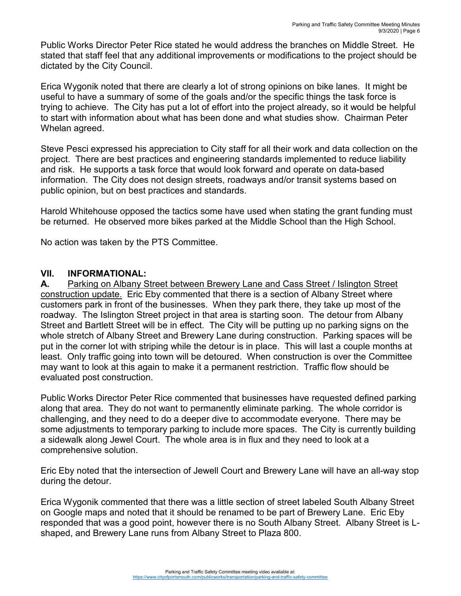Public Works Director Peter Rice stated he would address the branches on Middle Street. He stated that staff feel that any additional improvements or modifications to the project should be dictated by the City Council.

Erica Wygonik noted that there are clearly a lot of strong opinions on bike lanes. It might be useful to have a summary of some of the goals and/or the specific things the task force is trying to achieve. The City has put a lot of effort into the project already, so it would be helpful to start with information about what has been done and what studies show. Chairman Peter Whelan agreed.

Steve Pesci expressed his appreciation to City staff for all their work and data collection on the project. There are best practices and engineering standards implemented to reduce liability and risk. He supports a task force that would look forward and operate on data-based information. The City does not design streets, roadways and/or transit systems based on public opinion, but on best practices and standards.

Harold Whitehouse opposed the tactics some have used when stating the grant funding must be returned. He observed more bikes parked at the Middle School than the High School.

No action was taken by the PTS Committee.

#### **VII. INFORMATIONAL:**

**A.** Parking on Albany Street between Brewery Lane and Cass Street / Islington Street construction update. Eric Eby commented that there is a section of Albany Street where customers park in front of the businesses. When they park there, they take up most of the roadway. The Islington Street project in that area is starting soon. The detour from Albany Street and Bartlett Street will be in effect. The City will be putting up no parking signs on the whole stretch of Albany Street and Brewery Lane during construction. Parking spaces will be put in the corner lot with striping while the detour is in place. This will last a couple months at least. Only traffic going into town will be detoured. When construction is over the Committee may want to look at this again to make it a permanent restriction. Traffic flow should be evaluated post construction.

Public Works Director Peter Rice commented that businesses have requested defined parking along that area. They do not want to permanently eliminate parking. The whole corridor is challenging, and they need to do a deeper dive to accommodate everyone. There may be some adjustments to temporary parking to include more spaces. The City is currently building a sidewalk along Jewel Court. The whole area is in flux and they need to look at a comprehensive solution.

Eric Eby noted that the intersection of Jewell Court and Brewery Lane will have an all-way stop during the detour.

Erica Wygonik commented that there was a little section of street labeled South Albany Street on Google maps and noted that it should be renamed to be part of Brewery Lane. Eric Eby responded that was a good point, however there is no South Albany Street. Albany Street is Lshaped, and Brewery Lane runs from Albany Street to Plaza 800.